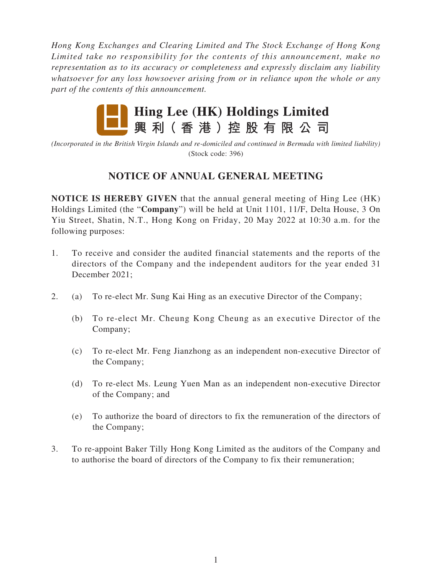*Hong Kong Exchanges and Clearing Limited and The Stock Exchange of Hong Kong Limited take no responsibility for the contents of this announcement, make no representation as to its accuracy or completeness and expressly disclaim any liability whatsoever for any loss howsoever arising from or in reliance upon the whole or any part of the contents of this announcement.*



*(Incorporated in the British Virgin Islands and re-domiciled and continued in Bermuda with limited liability)* (Stock code: 396)

## **NOTICE OF ANNUAL GENERAL MEETING**

**NOTICE IS HEREBY GIVEN** that the annual general meeting of Hing Lee (HK) Holdings Limited (the "**Company**") will be held at Unit 1101, 11/F, Delta House, 3 On Yiu Street, Shatin, N.T., Hong Kong on Friday, 20 May 2022 at 10:30 a.m. for the following purposes:

- 1. To receive and consider the audited financial statements and the reports of the directors of the Company and the independent auditors for the year ended 31 December 2021;
- 2. (a) To re-elect Mr. Sung Kai Hing as an executive Director of the Company;
	- (b) To re-elect Mr. Cheung Kong Cheung as an executive Director of the Company;
	- (c) To re-elect Mr. Feng Jianzhong as an independent non-executive Director of the Company;
	- (d) To re-elect Ms. Leung Yuen Man as an independent non-executive Director of the Company; and
	- (e) To authorize the board of directors to fix the remuneration of the directors of the Company;
- 3. To re-appoint Baker Tilly Hong Kong Limited as the auditors of the Company and to authorise the board of directors of the Company to fix their remuneration;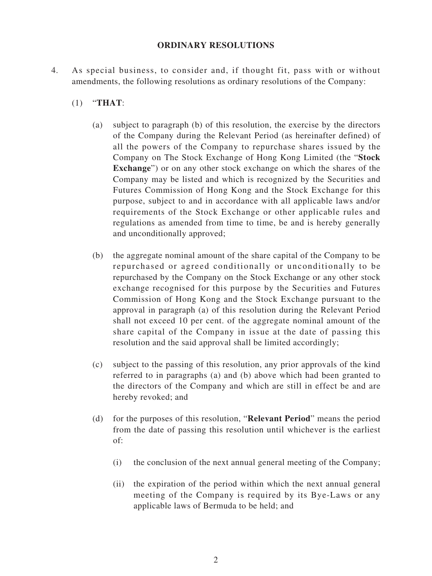## **ORDINARY RESOLUTIONS**

- 4. As special business, to consider and, if thought fit, pass with or without amendments, the following resolutions as ordinary resolutions of the Company:
	- (1) "**THAT**:
		- (a) subject to paragraph (b) of this resolution, the exercise by the directors of the Company during the Relevant Period (as hereinafter defined) of all the powers of the Company to repurchase shares issued by the Company on The Stock Exchange of Hong Kong Limited (the "**Stock Exchange**") or on any other stock exchange on which the shares of the Company may be listed and which is recognized by the Securities and Futures Commission of Hong Kong and the Stock Exchange for this purpose, subject to and in accordance with all applicable laws and/or requirements of the Stock Exchange or other applicable rules and regulations as amended from time to time, be and is hereby generally and unconditionally approved;
		- (b) the aggregate nominal amount of the share capital of the Company to be repurchased or agreed conditionally or unconditionally to be repurchased by the Company on the Stock Exchange or any other stock exchange recognised for this purpose by the Securities and Futures Commission of Hong Kong and the Stock Exchange pursuant to the approval in paragraph (a) of this resolution during the Relevant Period shall not exceed 10 per cent. of the aggregate nominal amount of the share capital of the Company in issue at the date of passing this resolution and the said approval shall be limited accordingly;
		- (c) subject to the passing of this resolution, any prior approvals of the kind referred to in paragraphs (a) and (b) above which had been granted to the directors of the Company and which are still in effect be and are hereby revoked; and
		- (d) for the purposes of this resolution, "**Relevant Period**" means the period from the date of passing this resolution until whichever is the earliest of:
			- (i) the conclusion of the next annual general meeting of the Company;
			- (ii) the expiration of the period within which the next annual general meeting of the Company is required by its Bye-Laws or any applicable laws of Bermuda to be held; and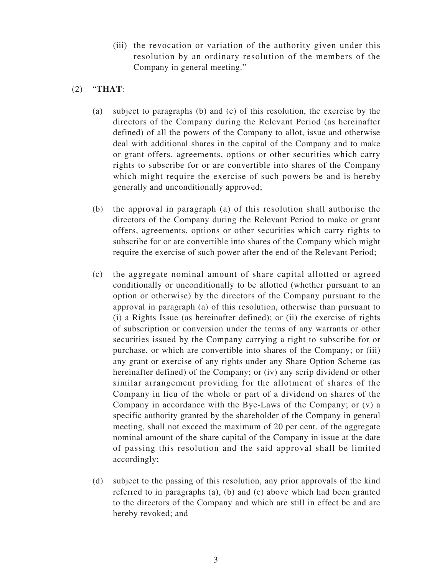- (iii) the revocation or variation of the authority given under this resolution by an ordinary resolution of the members of the Company in general meeting."
- (2) "**THAT**:
	- (a) subject to paragraphs (b) and (c) of this resolution, the exercise by the directors of the Company during the Relevant Period (as hereinafter defined) of all the powers of the Company to allot, issue and otherwise deal with additional shares in the capital of the Company and to make or grant offers, agreements, options or other securities which carry rights to subscribe for or are convertible into shares of the Company which might require the exercise of such powers be and is hereby generally and unconditionally approved;
	- (b) the approval in paragraph (a) of this resolution shall authorise the directors of the Company during the Relevant Period to make or grant offers, agreements, options or other securities which carry rights to subscribe for or are convertible into shares of the Company which might require the exercise of such power after the end of the Relevant Period;
	- (c) the aggregate nominal amount of share capital allotted or agreed conditionally or unconditionally to be allotted (whether pursuant to an option or otherwise) by the directors of the Company pursuant to the approval in paragraph (a) of this resolution, otherwise than pursuant to (i) a Rights Issue (as hereinafter defined); or (ii) the exercise of rights of subscription or conversion under the terms of any warrants or other securities issued by the Company carrying a right to subscribe for or purchase, or which are convertible into shares of the Company; or (iii) any grant or exercise of any rights under any Share Option Scheme (as hereinafter defined) of the Company; or (iv) any scrip dividend or other similar arrangement providing for the allotment of shares of the Company in lieu of the whole or part of a dividend on shares of the Company in accordance with the Bye-Laws of the Company; or (v) a specific authority granted by the shareholder of the Company in general meeting, shall not exceed the maximum of 20 per cent. of the aggregate nominal amount of the share capital of the Company in issue at the date of passing this resolution and the said approval shall be limited accordingly;
	- (d) subject to the passing of this resolution, any prior approvals of the kind referred to in paragraphs (a), (b) and (c) above which had been granted to the directors of the Company and which are still in effect be and are hereby revoked; and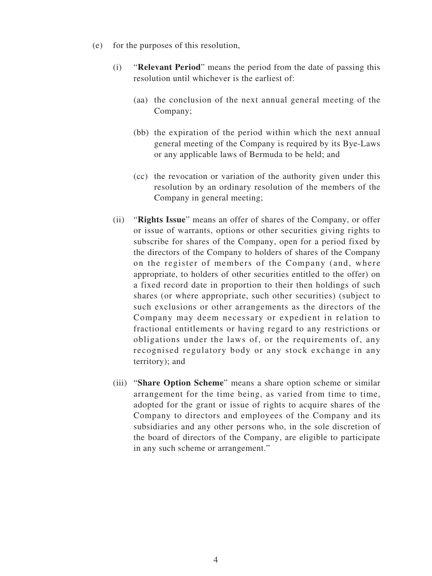- (e) for the purposes of this resolution,
	- (i) "**Relevant Period**" means the period from the date of passing this resolution until whichever is the earliest of:
		- (aa) the conclusion of the next annual general meeting of the Company;
		- (bb) the expiration of the period within which the next annual general meeting of the Company is required by its Bye-Laws or any applicable laws of Bermuda to be held; and
		- (cc) the revocation or variation of the authority given under this resolution by an ordinary resolution of the members of the Company in general meeting;
	- (ii) "**Rights Issue**" means an offer of shares of the Company, or offer or issue of warrants, options or other securities giving rights to subscribe for shares of the Company, open for a period fixed by the directors of the Company to holders of shares of the Company on the register of members of the Company (and, where appropriate, to holders of other securities entitled to the offer) on a fixed record date in proportion to their then holdings of such shares (or where appropriate, such other securities) (subject to such exclusions or other arrangements as the directors of the Company may deem necessary or expedient in relation to fractional entitlements or having regard to any restrictions or obligations under the laws of, or the requirements of, any recognised regulatory body or any stock exchange in any territory); and
	- (iii) "**Share Option Scheme**" means a share option scheme or similar arrangement for the time being, as varied from time to time, adopted for the grant or issue of rights to acquire shares of the Company to directors and employees of the Company and its subsidiaries and any other persons who, in the sole discretion of the board of directors of the Company, are eligible to participate in any such scheme or arrangement."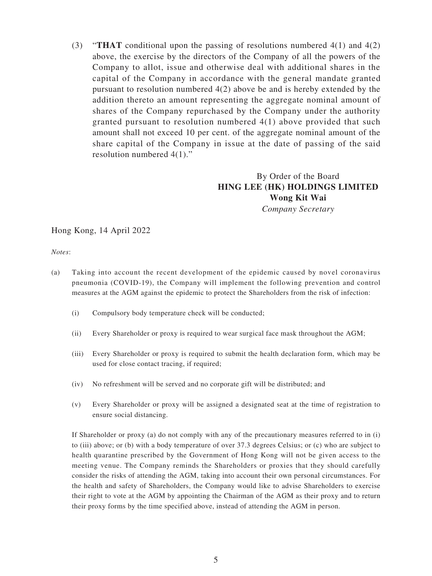(3) "**THAT** conditional upon the passing of resolutions numbered 4(1) and 4(2) above, the exercise by the directors of the Company of all the powers of the Company to allot, issue and otherwise deal with additional shares in the capital of the Company in accordance with the general mandate granted pursuant to resolution numbered 4(2) above be and is hereby extended by the addition thereto an amount representing the aggregate nominal amount of shares of the Company repurchased by the Company under the authority granted pursuant to resolution numbered 4(1) above provided that such amount shall not exceed 10 per cent. of the aggregate nominal amount of the share capital of the Company in issue at the date of passing of the said resolution numbered 4(1)."

## By Order of the Board **HING LEE (HK) HOLDINGS LIMITED Wong Kit Wai** *Company Secretary*

Hong Kong, 14 April 2022

*Notes*:

- (a) Taking into account the recent development of the epidemic caused by novel coronavirus pneumonia (COVID-19), the Company will implement the following prevention and control measures at the AGM against the epidemic to protect the Shareholders from the risk of infection:
	- (i) Compulsory body temperature check will be conducted;
	- (ii) Every Shareholder or proxy is required to wear surgical face mask throughout the AGM;
	- (iii) Every Shareholder or proxy is required to submit the health declaration form, which may be used for close contact tracing, if required;
	- (iv) No refreshment will be served and no corporate gift will be distributed; and
	- (v) Every Shareholder or proxy will be assigned a designated seat at the time of registration to ensure social distancing.

If Shareholder or proxy (a) do not comply with any of the precautionary measures referred to in (i) to (iii) above; or (b) with a body temperature of over 37.3 degrees Celsius; or (c) who are subject to health quarantine prescribed by the Government of Hong Kong will not be given access to the meeting venue. The Company reminds the Shareholders or proxies that they should carefully consider the risks of attending the AGM, taking into account their own personal circumstances. For the health and safety of Shareholders, the Company would like to advise Shareholders to exercise their right to vote at the AGM by appointing the Chairman of the AGM as their proxy and to return their proxy forms by the time specified above, instead of attending the AGM in person.